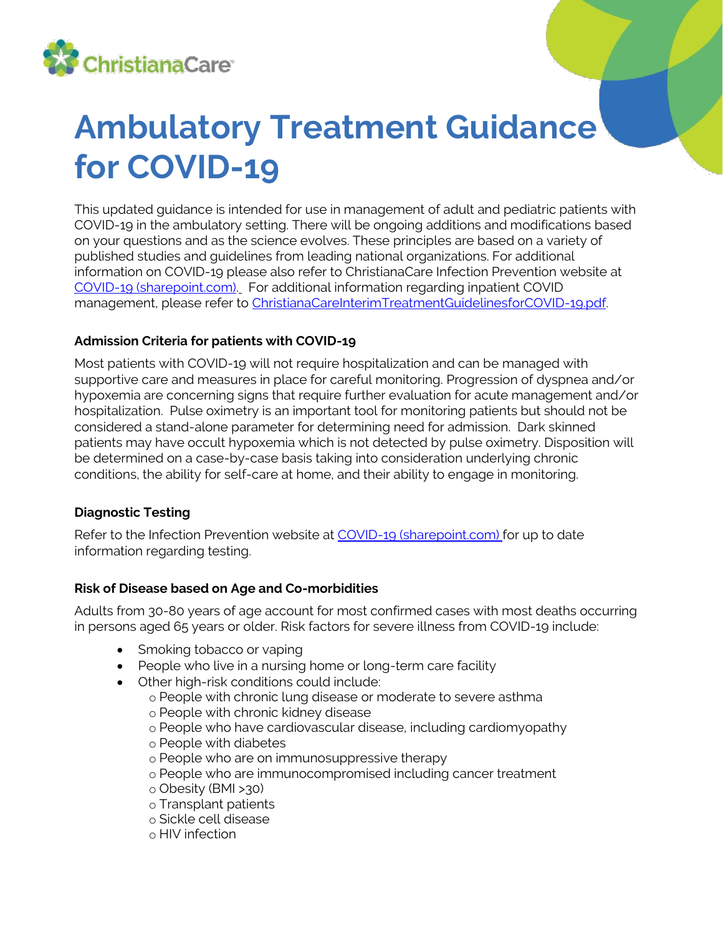

# **Ambulatory Treatment Guidance for COVID-19**

This updated guidance is intended for use in management of adult and pediatric patients with COVID-19 in the ambulatory setting. There will be ongoing additions and modifications based on your questions and as the science evolves. These principles are based on a variety of published studies and guidelines from leading national organizations. For additional information on COVID-19 please also refer to ChristianaCare [Infection Prevention website at](http://intranet/sites/InfectionPrevention/EmergingPathogens/Pages/2019NovelCoronavirusGuidance.aspx)  [COVID-19 \(sharepoint.com\).](https://cchs.sharepoint.com.rproxy.goskope.com/sites/Intranet-Infection-Prevention/SitePages/COVID-19.aspx) For additional information regarding inpatient COVID management, please refer to [ChristianaCareInterimTreatmentGuidelinesforCOVID-19.pdf.](http://intranet/sites/PharmacyServices/AntimicrobialStewardship/Documents/ChristianaCareInterimTreatmentGuidelinesforCOVID-19.pdf)

# **Admission Criteria for patients with COVID-19**

Most patients with COVID-19 will not require hospitalization and can be managed with supportive care and measures in place for careful monitoring. Progression of dyspnea and/or hypoxemia are concerning signs that require further evaluation for acute management and/or hospitalization. Pulse oximetry is an important tool for monitoring patients but should not be considered a stand-alone parameter for determining need for admission. Dark skinned patients may have occult hypoxemia which is not detected by pulse oximetry. Disposition will be determined on a case-by-case basis taking into consideration underlying chronic conditions, the ability for self-care at home, and their ability to engage in monitoring.

# **Diagnostic Testing**

Refer to the Infection Prevention website at [COVID-19 \(sharepoint.com\)](https://cchs.sharepoint.com.rproxy.goskope.com/sites/Intranet-Infection-Prevention/SitePages/COVID-19.aspx) for up to date information regarding testing.

#### **Risk of Disease based on Age and Co-morbidities**

Adults from 30-80 years of age account for most confirmed cases with most deaths occurring in persons aged 65 years or older. Risk factors for severe illness from COVID-19 include:

- Smoking tobacco or vaping
- People who live in a nursing home or long-term care facility
- Other high-risk conditions could include:
	- o People with chronic lung disease or moderate to severe asthma
	- o People with chronic kidney disease
	- o People who have cardiovascular disease, including cardiomyopathy
	- o People with diabetes
	- o People who are on immunosuppressive therapy
	- o People who are immunocompromised including cancer treatment
	- o Obesity (BMI >30)
	- o Transplant patients
	- o Sickle cell disease
	- o HIV infection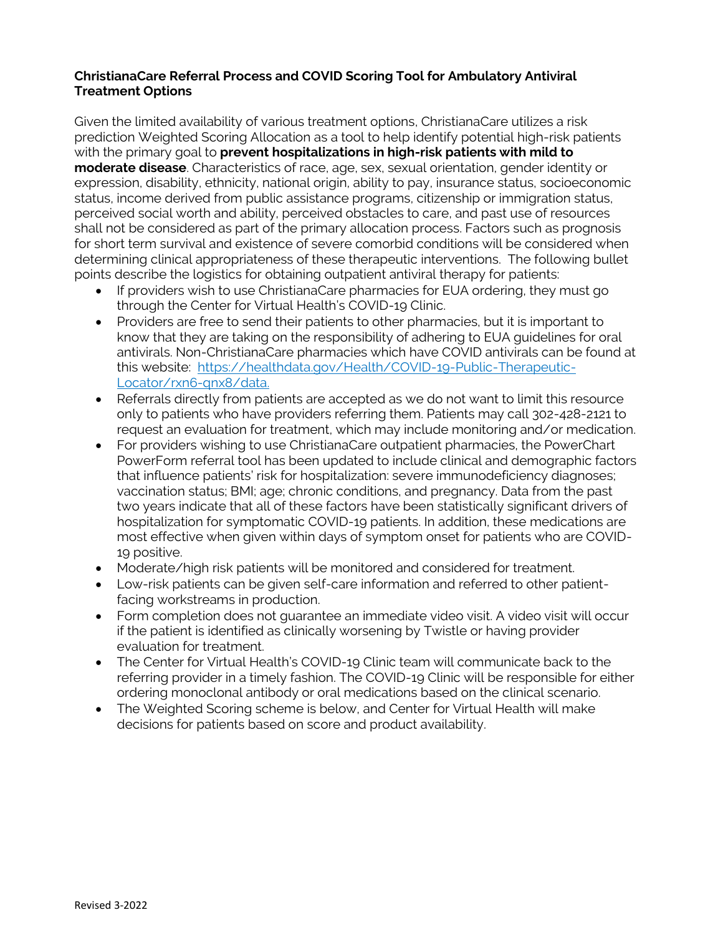#### **ChristianaCare Referral Process and COVID Scoring Tool for Ambulatory Antiviral Treatment Options**

Given the limited availability of various treatment options, ChristianaCare utilizes a risk prediction Weighted Scoring Allocation as a tool to help identify potential high-risk patients with the primary goal to **prevent hospitalizations in high-risk patients with mild to moderate disease**. Characteristics of race, age, sex, sexual orientation, gender identity or expression, disability, ethnicity, national origin, ability to pay, insurance status, socioeconomic status, income derived from public assistance programs, citizenship or immigration status, perceived social worth and ability, perceived obstacles to care, and past use of resources shall not be considered as part of the primary allocation process. Factors such as prognosis for short term survival and existence of severe comorbid conditions will be considered when determining clinical appropriateness of these therapeutic interventions. The following bullet points describe the logistics for obtaining outpatient antiviral therapy for patients:

- If providers wish to use ChristianaCare pharmacies for EUA ordering, they must go through the Center for Virtual Health's COVID-19 Clinic.
- Providers are free to send their patients to other pharmacies, but it is important to know that they are taking on the responsibility of adhering to EUA guidelines for oral antivirals. Non-ChristianaCare pharmacies which have COVID antivirals can be found at this website: [https://healthdata.gov/Health/COVID-19-Public-Therapeutic-](https://healthdata.gov/Health/COVID-19-Public-Therapeutic-Locator/rxn6-qnx8/data)[Locator/rxn6-qnx8/data.](https://healthdata.gov/Health/COVID-19-Public-Therapeutic-Locator/rxn6-qnx8/data)
- Referrals directly from patients are accepted as we do not want to limit this resource only to patients who have providers referring them. Patients may call 302-428-2121 to request an evaluation for treatment, which may include monitoring and/or medication.
- For providers wishing to use ChristianaCare outpatient pharmacies, the PowerChart PowerForm referral tool has been updated to include clinical and demographic factors that influence patients' risk for hospitalization: severe immunodeficiency diagnoses; vaccination status; BMI; age; chronic conditions, and pregnancy. Data from the past two years indicate that all of these factors have been statistically significant drivers of hospitalization for symptomatic COVID-19 patients. In addition, these medications are most effective when given within days of symptom onset for patients who are COVID-19 positive.
- Moderate/high risk patients will be monitored and considered for treatment.
- Low-risk patients can be given self-care information and referred to other patientfacing workstreams in production.
- Form completion does not guarantee an immediate video visit. A video visit will occur if the patient is identified as clinically worsening by Twistle or having provider evaluation for treatment.
- The Center for Virtual Health's COVID-19 Clinic team will communicate back to the referring provider in a timely fashion. The COVID-19 Clinic will be responsible for either ordering monoclonal antibody or oral medications based on the clinical scenario.
- The Weighted Scoring scheme is below, and Center for Virtual Health will make decisions for patients based on score and product availability.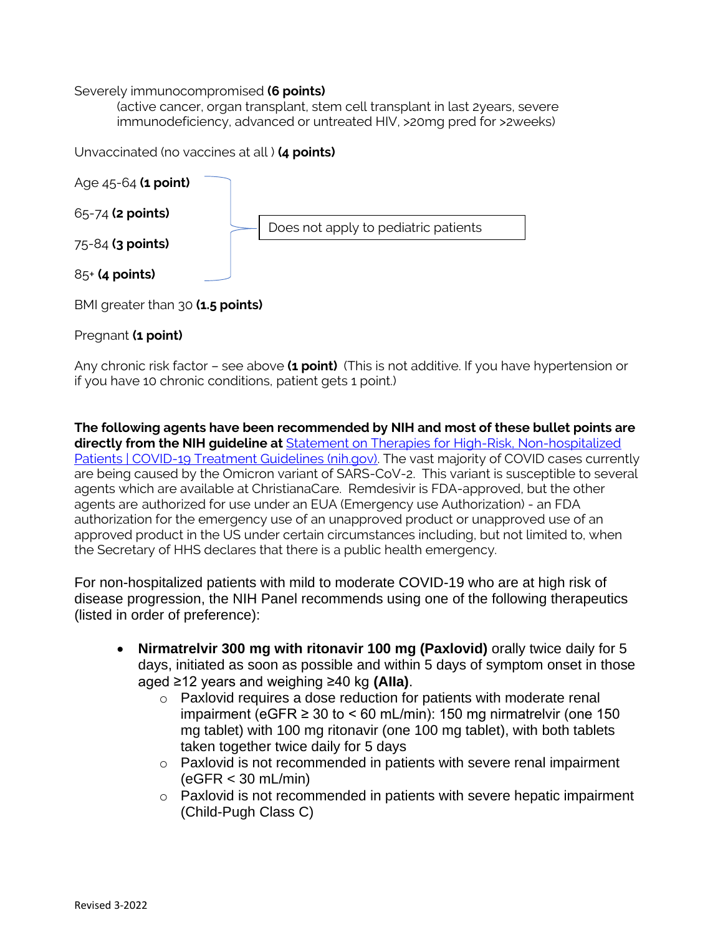#### Severely immunocompromised **(6 points)**

(active cancer, organ transplant, stem cell transplant in last 2years, severe immunodeficiency, advanced or untreated HIV, >20mg pred for >2weeks)

Unvaccinated (no vaccines at all ) **(4 points)**



BMI greater than 30 **(1.5 points)**

### Pregnant **(1 point)**

Any chronic risk factor – see above **(1 point)** (This is not additive. If you have hypertension or if you have 10 chronic conditions, patient gets 1 point.)

**The following agents have been recommended by NIH and most of these bullet points are directly from the NIH guideline at** [Statement on Therapies for High-Risk, Non-hospitalized](https://www.covid19treatmentguidelines.nih.gov/therapies/statement-on-therapies-for-high-risk-nonhospitalized-patients/)  [Patients | COVID-19 Treatment Guidelines \(nih.gov\).](https://www.covid19treatmentguidelines.nih.gov/therapies/statement-on-therapies-for-high-risk-nonhospitalized-patients/) The vast majority of COVID cases currently are being caused by the Omicron variant of SARS-CoV-2. This variant is susceptible to several agents which are available at ChristianaCare. Remdesivir is FDA-approved, but the other agents are authorized for use under an EUA (Emergency use Authorization) - an FDA authorization for the emergency use of an unapproved product or unapproved use of an approved product in the US under certain circumstances including, but not limited to, when the Secretary of HHS declares that there is a public health emergency.

For non-hospitalized patients with mild to moderate COVID-19 who are at high risk of disease progression, the NIH Panel recommends using one of the following therapeutics (listed in order of preference):

- **Nirmatrelvir 300 mg with ritonavir 100 mg (Paxlovid)** orally twice daily for 5 days, initiated as soon as possible and within 5 days of symptom onset in those aged ≥12 years and weighing ≥40 kg **(AIIa)**.
	- o Paxlovid requires a dose reduction for patients with moderate renal impairment (eGFR  $\geq 30$  to < 60 mL/min): 150 mg nirmatrelvir (one 150 mg tablet) with 100 mg ritonavir (one 100 mg tablet), with both tablets taken together twice daily for 5 days
	- o Paxlovid is not recommended in patients with severe renal impairment (eGFR < 30 mL/min)
	- $\circ$  Paxlovid is not recommended in patients with severe hepatic impairment (Child-Pugh Class C)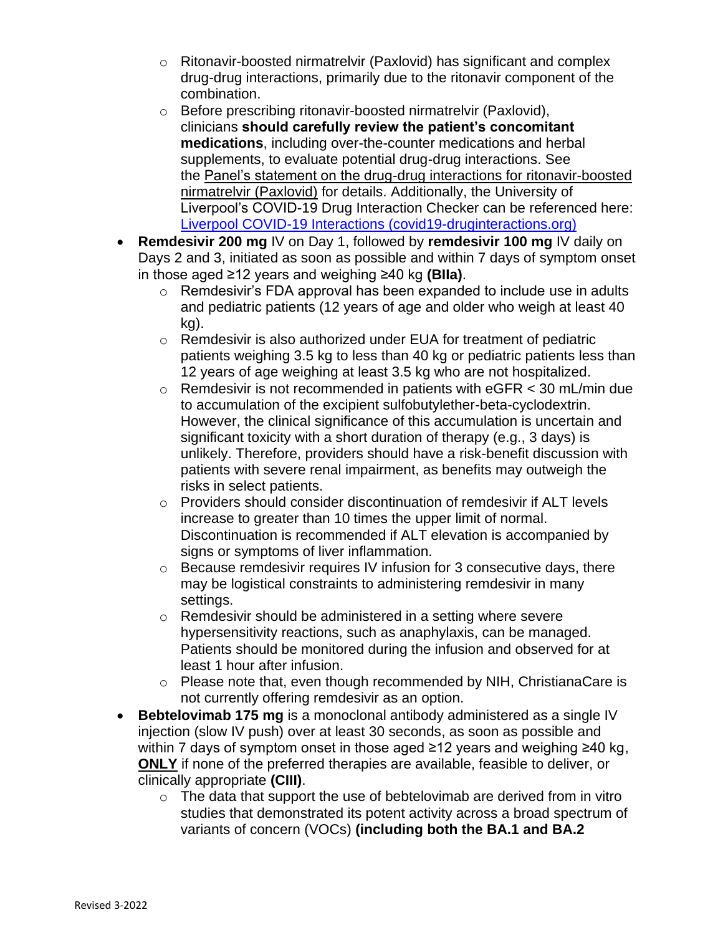- o Ritonavir-boosted nirmatrelvir (Paxlovid) has significant and complex drug-drug interactions, primarily due to the ritonavir component of the combination.
- o Before prescribing ritonavir-boosted nirmatrelvir (Paxlovid), clinicians **should carefully review the patient's concomitant medications**, including over-the-counter medications and herbal supplements, to evaluate potential drug-drug interactions. See the [Panel's statement on the drug-drug interactions for ritonavir-boosted](https://www.covid19treatmentguidelines.nih.gov/therapies/statement-on-paxlovid-drug-drug-interactions/)  [nirmatrelvir \(Paxlovid\)](https://www.covid19treatmentguidelines.nih.gov/therapies/statement-on-paxlovid-drug-drug-interactions/) for details. Additionally, the University of Liverpool's COVID-19 Drug Interaction Checker can be referenced here: [Liverpool COVID-19 Interactions \(covid19-druginteractions.org\)](https://www.covid19-druginteractions.org/)
- **Remdesivir 200 mg** IV on Day 1, followed by **remdesivir 100 mg** IV daily on Days 2 and 3, initiated as soon as possible and within 7 days of symptom onset in those aged ≥12 years and weighing ≥40 kg **(BIIa)**.
	- $\circ$  Remdesivir's FDA approval has been expanded to include use in adults and pediatric patients (12 years of age and older who weigh at least 40 kg).
	- o Remdesivir is also authorized under EUA for treatment of pediatric patients weighing 3.5 kg to less than 40 kg or pediatric patients less than 12 years of age weighing at least 3.5 kg who are not hospitalized.
	- $\circ$  Remdesivir is not recommended in patients with eGFR  $<$  30 mL/min due to accumulation of the excipient sulfobutylether-beta-cyclodextrin. However, the clinical significance of this accumulation is uncertain and significant toxicity with a short duration of therapy (e.g., 3 days) is unlikely. Therefore, providers should have a risk-benefit discussion with patients with severe renal impairment, as benefits may outweigh the risks in select patients.
	- $\circ$  Providers should consider discontinuation of remdesivir if ALT levels increase to greater than 10 times the upper limit of normal. Discontinuation is recommended if ALT elevation is accompanied by signs or symptoms of liver inflammation.
	- o Because remdesivir requires IV infusion for 3 consecutive days, there may be logistical constraints to administering remdesivir in many settings.
	- o Remdesivir should be administered in a setting where severe hypersensitivity reactions, such as anaphylaxis, can be managed. Patients should be monitored during the infusion and observed for at least 1 hour after infusion.
	- o Please note that, even though recommended by NIH, ChristianaCare is not currently offering remdesivir as an option.
- **Bebtelovimab 175 mg** is a monoclonal antibody administered as a single IV injection (slow IV push) over at least 30 seconds, as soon as possible and within 7 days of symptom onset in those aged ≥12 years and weighing ≥40 kg, **ONLY** if none of the preferred therapies are available, feasible to deliver, or clinically appropriate **(CIII)**.
	- $\circ$  The data that support the use of bebtelovimab are derived from in vitro studies that demonstrated its potent activity across a broad spectrum of variants of concern (VOCs) **(including both the BA.1 and BA.2**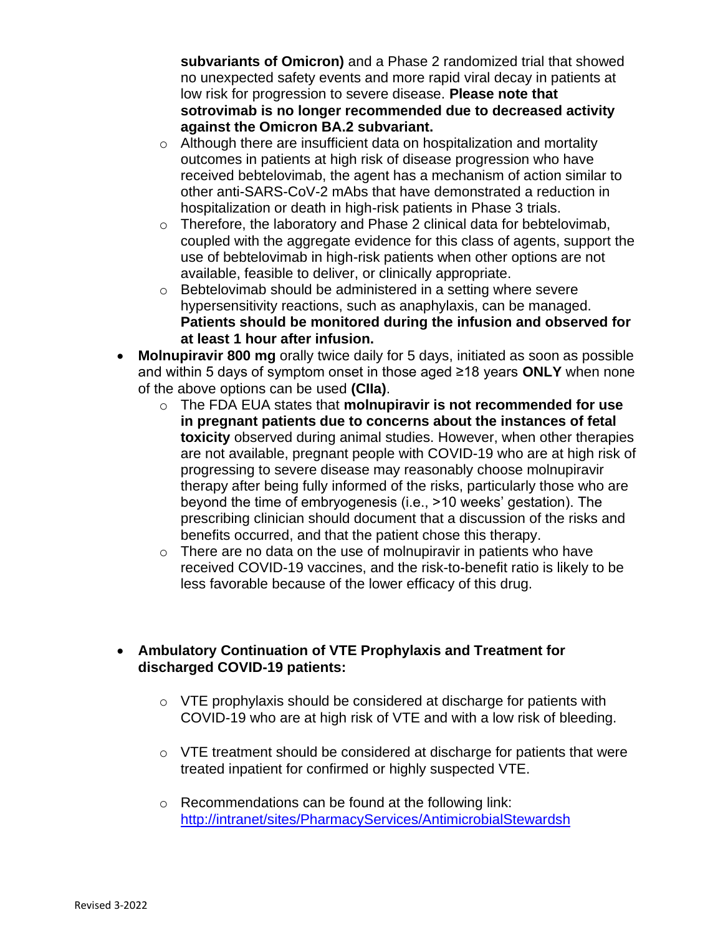**subvariants of Omicron)** and a Phase 2 randomized trial that showed no unexpected safety events and more rapid viral decay in patients at low risk for progression to severe disease. **Please note that sotrovimab is no longer recommended due to decreased activity against the Omicron BA.2 subvariant.** 

- o Although there are insufficient data on hospitalization and mortality outcomes in patients at high risk of disease progression who have received bebtelovimab, the agent has a mechanism of action similar to other anti-SARS-CoV-2 mAbs that have demonstrated a reduction in hospitalization or death in high-risk patients in Phase 3 trials.
- o Therefore, the laboratory and Phase 2 clinical data for bebtelovimab, coupled with the aggregate evidence for this class of agents, support the use of bebtelovimab in high-risk patients when other options are not available, feasible to deliver, or clinically appropriate.
- o Bebtelovimab should be administered in a setting where severe hypersensitivity reactions, such as anaphylaxis, can be managed. **Patients should be monitored during the infusion and observed for at least 1 hour after infusion.**
- **Molnupiravir 800 mg** orally twice daily for 5 days, initiated as soon as possible and within 5 days of symptom onset in those aged ≥18 years **ONLY** when none of the above options can be used **(CIIa)**.
	- o The FDA EUA states that **molnupiravir is not recommended for use in pregnant patients due to concerns about the instances of fetal toxicity** observed during animal studies. However, when other therapies are not available, pregnant people with COVID-19 who are at high risk of progressing to severe disease may reasonably choose molnupiravir therapy after being fully informed of the risks, particularly those who are beyond the time of embryogenesis (i.e., >10 weeks' gestation). The prescribing clinician should document that a discussion of the risks and benefits occurred, and that the patient chose this therapy.
	- $\circ$  There are no data on the use of molnupiravir in patients who have received COVID-19 vaccines, and the risk-to-benefit ratio is likely to be less favorable because of the lower efficacy of this drug.

# • **Ambulatory Continuation of VTE Prophylaxis and Treatment for discharged COVID-19 patients:**

- o VTE prophylaxis should be considered at discharge for patients with COVID-19 who are at high risk of VTE and with a low risk of bleeding.
- o VTE treatment should be considered at discharge for patients that were treated inpatient for confirmed or highly suspected VTE.
- o Recommendations can be found at the following link: [http://intranet/sites/PharmacyServices/AntimicrobialStewardsh](http://intranet/sites/PharmacyServices/AntimicrobialStewardship/Documents/ChristianaCareInterimTreatmentGuidelinesforCOVID-19.pdf)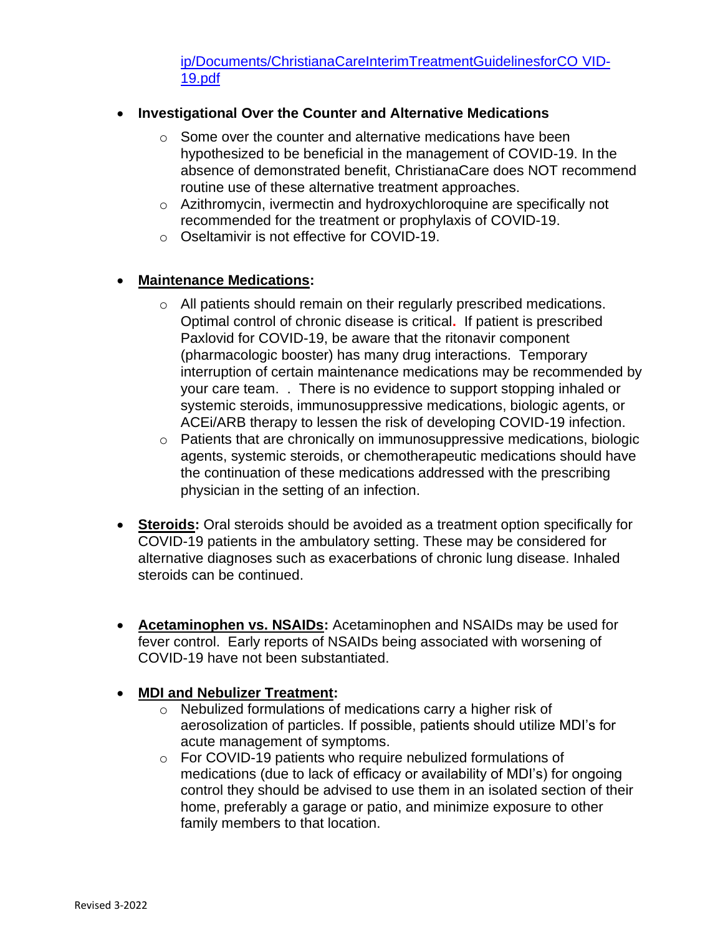[ip/Documents/ChristianaCareInterimTreatmentGuidelinesforCO](http://intranet/sites/PharmacyServices/AntimicrobialStewardship/Documents/ChristianaCareInterimTreatmentGuidelinesforCOVID-19.pdf) [VID-](http://intranet/sites/PharmacyServices/AntimicrobialStewardship/Documents/ChristianaCareInterimTreatmentGuidelinesforCOVID-19.pdf)[19.pdf](http://intranet/sites/PharmacyServices/AntimicrobialStewardship/Documents/ChristianaCareInterimTreatmentGuidelinesforCOVID-19.pdf)

# • **Investigational Over the Counter and Alternative Medications**

- o Some over the counter and alternative medications have been hypothesized to be beneficial in the management of COVID-19. In the absence of demonstrated benefit, ChristianaCare does NOT recommend routine use of these alternative treatment approaches.
- o Azithromycin, ivermectin and hydroxychloroquine are specifically not recommended for the treatment or prophylaxis of COVID-19.
- o Oseltamivir is not effective for COVID-19.

# • **Maintenance Medications:**

- o All patients should remain on their regularly prescribed medications. Optimal control of chronic disease is critical**.** If patient is prescribed Paxlovid for COVID-19, be aware that the ritonavir component (pharmacologic booster) has many drug interactions. Temporary interruption of certain maintenance medications may be recommended by your care team. . There is no evidence to support stopping inhaled or systemic steroids, immunosuppressive medications, biologic agents, or ACEi/ARB therapy to lessen the risk of developing COVID-19 infection.
- o Patients that are chronically on immunosuppressive medications, biologic agents, systemic steroids, or chemotherapeutic medications should have the continuation of these medications addressed with the prescribing physician in the setting of an infection.
- **Steroids:** Oral steroids should be avoided as a treatment option specifically for COVID-19 patients in the ambulatory setting. These may be considered for alternative diagnoses such as exacerbations of chronic lung disease. Inhaled steroids can be continued.
- **Acetaminophen vs. NSAIDs:** Acetaminophen and NSAIDs may be used for fever control. Early reports of NSAIDs being associated with worsening of COVID-19 have not been substantiated.

# • **MDI and Nebulizer Treatment:**

- o Nebulized formulations of medications carry a higher risk of aerosolization of particles. If possible, patients should utilize MDI's for acute management of symptoms.
- o For COVID-19 patients who require nebulized formulations of medications (due to lack of efficacy or availability of MDI's) for ongoing control they should be advised to use them in an isolated section of their home, preferably a garage or patio, and minimize exposure to other family members to that location.